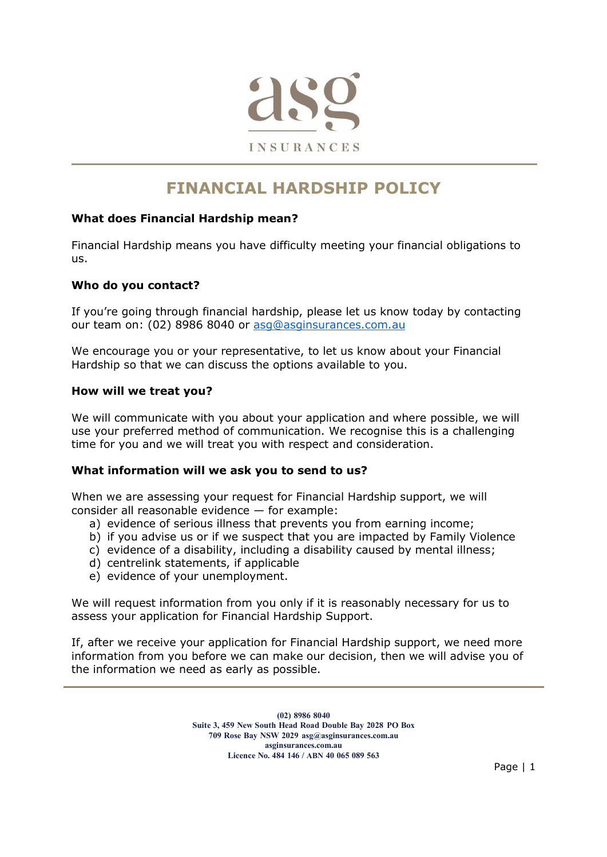

# FINANCIAL HARDSHIP POLICY

# What does Financial Hardship mean?

Financial Hardship means you have difficulty meeting your financial obligations to us.

#### Who do you contact?

If you're going through financial hardship, please let us know today by contacting our team on: (02) 8986 8040 or asg@asginsurances.com.au

We encourage you or your representative, to let us know about your Financial Hardship so that we can discuss the options available to you.

#### How will we treat you?

We will communicate with you about your application and where possible, we will use your preferred method of communication. We recognise this is a challenging time for you and we will treat you with respect and consideration.

#### What information will we ask you to send to us?

When we are assessing your request for Financial Hardship support, we will consider all reasonable evidence — for example:

- a) evidence of serious illness that prevents you from earning income;
- b) if you advise us or if we suspect that you are impacted by Family Violence
- c) evidence of a disability, including a disability caused by mental illness;
- d) centrelink statements, if applicable
- e) evidence of your unemployment.

We will request information from you only if it is reasonably necessary for us to assess your application for Financial Hardship Support.

If, after we receive your application for Financial Hardship support, we need more information from you before we can make our decision, then we will advise you of the information we need as early as possible.

> (02) 8986 8040 Suite 3, 459 New South Head Road Double Bay 2028 PO Box 709 Rose Bay NSW 2029 asg@asginsurances.com.au asginsurances.com.au Licence No. 484 146 / ABN 40 065 089 563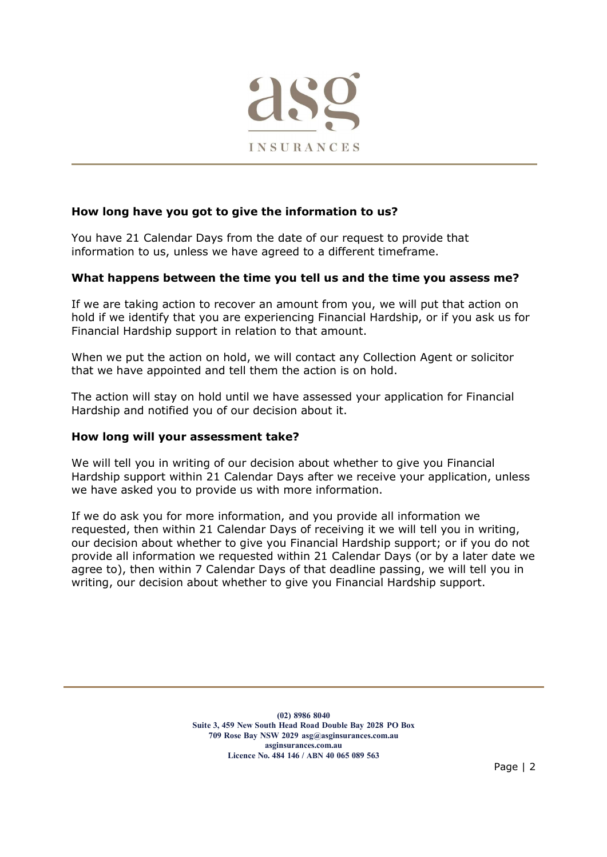

# How long have you got to give the information to us?

You have 21 Calendar Days from the date of our request to provide that information to us, unless we have agreed to a different timeframe.

#### What happens between the time you tell us and the time you assess me?

If we are taking action to recover an amount from you, we will put that action on hold if we identify that you are experiencing Financial Hardship, or if you ask us for Financial Hardship support in relation to that amount.

When we put the action on hold, we will contact any Collection Agent or solicitor that we have appointed and tell them the action is on hold.

The action will stay on hold until we have assessed your application for Financial Hardship and notified you of our decision about it.

#### How long will your assessment take?

We will tell you in writing of our decision about whether to give you Financial Hardship support within 21 Calendar Days after we receive your application, unless we have asked you to provide us with more information.

If we do ask you for more information, and you provide all information we requested, then within 21 Calendar Days of receiving it we will tell you in writing, our decision about whether to give you Financial Hardship support; or if you do not provide all information we requested within 21 Calendar Days (or by a later date we agree to), then within 7 Calendar Days of that deadline passing, we will tell you in writing, our decision about whether to give you Financial Hardship support.

> (02) 8986 8040 Suite 3, 459 New South Head Road Double Bay 2028 PO Box 709 Rose Bay NSW 2029 asg@asginsurances.com.au asginsurances.com.au Licence No. 484 146 / ABN 40 065 089 563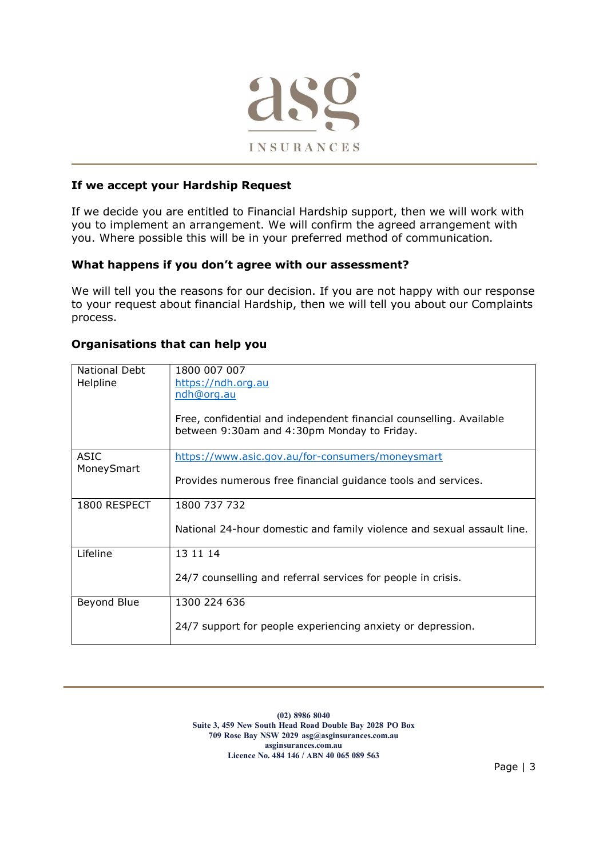

# If we accept your Hardship Request

If we decide you are entitled to Financial Hardship support, then we will work with you to implement an arrangement. We will confirm the agreed arrangement with you. Where possible this will be in your preferred method of communication.

# What happens if you don't agree with our assessment?

We will tell you the reasons for our decision. If you are not happy with our response to your request about financial Hardship, then we will tell you about our Complaints process.

# Organisations that can help you

| National Debt<br>Helpline | 1800 007 007<br>https://ndh.org.au<br>ndh@org.au<br>Free, confidential and independent financial counselling. Available<br>between 9:30am and 4:30pm Monday to Friday. |
|---------------------------|------------------------------------------------------------------------------------------------------------------------------------------------------------------------|
| <b>ASIC</b>               | https://www.asic.gov.au/for-consumers/moneysmart                                                                                                                       |
| MoneySmart                | Provides numerous free financial guidance tools and services.                                                                                                          |
| 1800 RESPECT              | 1800 737 732                                                                                                                                                           |
|                           | National 24-hour domestic and family violence and sexual assault line.                                                                                                 |
| Lifeline                  | 13 11 14                                                                                                                                                               |
|                           | 24/7 counselling and referral services for people in crisis.                                                                                                           |
| Beyond Blue               | 1300 224 636                                                                                                                                                           |
|                           | 24/7 support for people experiencing anxiety or depression.                                                                                                            |

(02) 8986 8040 Suite 3, 459 New South Head Road Double Bay 2028 PO Box 709 Rose Bay NSW 2029 asg@asginsurances.com.au asginsurances.com.au Licence No. 484 146 / ABN 40 065 089 563